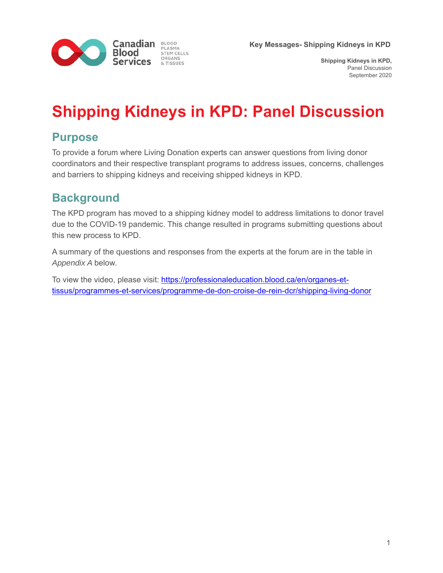

**Shipping Kidneys in KPD,**  Panel Discussion September 2020

# **Shipping Kidneys in KPD: Panel Discussion**

### **Purpose**

To provide a forum where Living Donation experts can answer questions from living donor coordinators and their respective transplant programs to address issues, concerns, challenges and barriers to shipping kidneys and receiving shipped kidneys in KPD.

## **Background**

The KPD program has moved to a shipping kidney model to address limitations to donor travel due to the COVID-19 pandemic. This change resulted in programs submitting questions about this new process to KPD.

A summary of the questions and responses from the experts at the forum are in the table in *Appendix A* below*.* 

To view the video, please visit: https://professionaleducation.blood.ca/en/organes-ettissus/programmes-et-services/programme-de-don-croise-de-rein-dcr/shipping-living-donor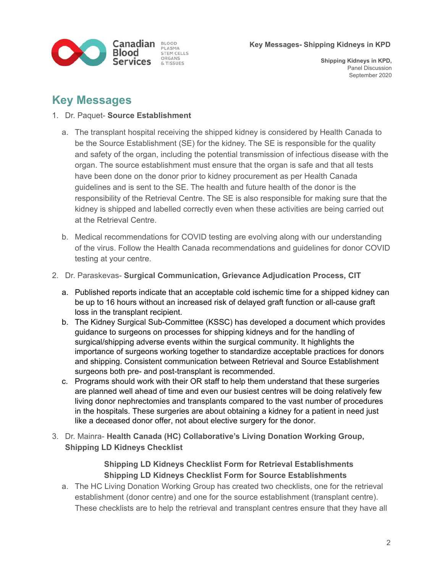

### **Key Messages**

#### 1. Dr. Paquet- **Source Establishment**

- a. The transplant hospital receiving the shipped kidney is considered by Health Canada to be the Source Establishment (SE) for the kidney. The SE is responsible for the quality and safety of the organ, including the potential transmission of infectious disease with the organ. The source establishment must ensure that the organ is safe and that all tests have been done on the donor prior to kidney procurement as per Health Canada guidelines and is sent to the SE. The health and future health of the donor is the responsibility of the Retrieval Centre. The SE is also responsible for making sure that the kidney is shipped and labelled correctly even when these activities are being carried out at the Retrieval Centre.
- b. Medical recommendations for COVID testing are evolving along with our understanding of the virus. Follow the Health Canada recommendations and guidelines for donor COVID testing at your centre.
- 2. Dr. Paraskevas- **Surgical Communication, Grievance Adjudication Process, CIT**
	- a. Published reports indicate that an acceptable cold ischemic time for a shipped kidney can be up to 16 hours without an increased risk of delayed graft function or all-cause graft loss in the transplant recipient.
	- b. The Kidney Surgical Sub-Committee (KSSC) has developed a document which provides guidance to surgeons on processes for shipping kidneys and for the handling of surgical/shipping adverse events within the surgical community. It highlights the importance of surgeons working together to standardize acceptable practices for donors and shipping. Consistent communication between Retrieval and Source Establishment surgeons both pre- and post-transplant is recommended.
	- c. Programs should work with their OR staff to help them understand that these surgeries are planned well ahead of time and even our busiest centres will be doing relatively few living donor nephrectomies and transplants compared to the vast number of procedures in the hospitals. These surgeries are about obtaining a kidney for a patient in need just like a deceased donor offer, not about elective surgery for the donor.
- 3. Dr. Mainra- **Health Canada (HC) Collaborative's Living Donation Working Group, Shipping LD Kidneys Checklist**

#### **Shipping LD Kidneys Checklist Form for Retrieval Establishments Shipping LD Kidneys Checklist Form for Source Establishments**

a. The HC Living Donation Working Group has created two checklists, one for the retrieval establishment (donor centre) and one for the source establishment (transplant centre). These checklists are to help the retrieval and transplant centres ensure that they have all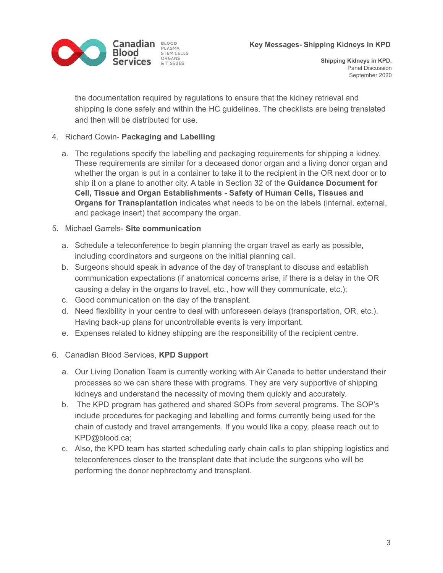

the documentation required by regulations to ensure that the kidney retrieval and shipping is done safely and within the HC guidelines. The checklists are being translated and then will be distributed for use.

#### 4. Richard Cowin- **Packaging and Labelling**

a. The regulations specify the labelling and packaging requirements for shipping a kidney. These requirements are similar for a deceased donor organ and a living donor organ and whether the organ is put in a container to take it to the recipient in the OR next door or to ship it on a plane to another city. A table in Section 32 of the **Guidance Document for Cell, Tissue and Organ Establishments - Safety of Human Cells, Tissues and Organs for Transplantation** indicates what needs to be on the labels (internal, external, and package insert) that accompany the organ.

#### 5. Michael Garrels- **Site communication**

- a. Schedule a teleconference to begin planning the organ travel as early as possible, including coordinators and surgeons on the initial planning call.
- b. Surgeons should speak in advance of the day of transplant to discuss and establish communication expectations (if anatomical concerns arise, if there is a delay in the OR causing a delay in the organs to travel, etc., how will they communicate, etc.);
- c. Good communication on the day of the transplant.
- d. Need flexibility in your centre to deal with unforeseen delays (transportation, OR, etc.). Having back-up plans for uncontrollable events is very important.
- e. Expenses related to kidney shipping are the responsibility of the recipient centre.
- 6. Canadian Blood Services, **KPD Support**
	- a. Our Living Donation Team is currently working with Air Canada to better understand their processes so we can share these with programs. They are very supportive of shipping kidneys and understand the necessity of moving them quickly and accurately.
	- b. The KPD program has gathered and shared SOPs from several programs. The SOP's include procedures for packaging and labelling and forms currently being used for the chain of custody and travel arrangements. If you would like a copy, please reach out to KPD@blood.ca;
	- c. Also, the KPD team has started scheduling early chain calls to plan shipping logistics and teleconferences closer to the transplant date that include the surgeons who will be performing the donor nephrectomy and transplant.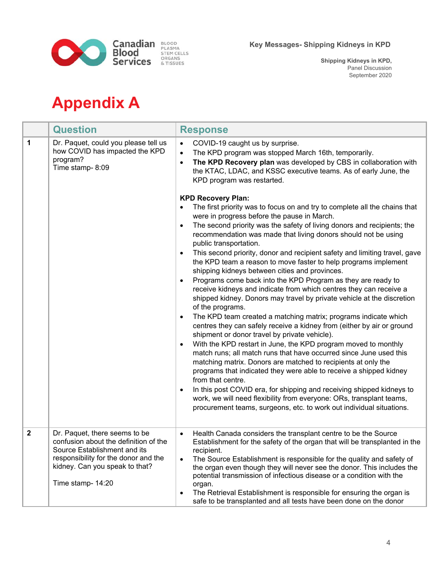

**Shipping Kidneys in KPD,**  Panel Discussion September 2020

# **Appendix A**

|                | <b>Question</b>                                                                                                                                                                                       | <b>Response</b>                                                                                                                                                                                                                                                                                                                                                                                                                                                                                                                                                |
|----------------|-------------------------------------------------------------------------------------------------------------------------------------------------------------------------------------------------------|----------------------------------------------------------------------------------------------------------------------------------------------------------------------------------------------------------------------------------------------------------------------------------------------------------------------------------------------------------------------------------------------------------------------------------------------------------------------------------------------------------------------------------------------------------------|
| $\mathbf 1$    | Dr. Paquet, could you please tell us<br>how COVID has impacted the KPD<br>program?<br>Time stamp-8:09                                                                                                 | COVID-19 caught us by surprise.<br>$\bullet$<br>The KPD program was stopped March 16th, temporarily.<br>$\bullet$<br>The KPD Recovery plan was developed by CBS in collaboration with<br>$\bullet$<br>the KTAC, LDAC, and KSSC executive teams. As of early June, the<br>KPD program was restarted.<br><b>KPD Recovery Plan:</b><br>The first priority was to focus on and try to complete all the chains that                                                                                                                                                 |
|                |                                                                                                                                                                                                       | were in progress before the pause in March.<br>The second priority was the safety of living donors and recipients; the<br>recommendation was made that living donors should not be using<br>public transportation.                                                                                                                                                                                                                                                                                                                                             |
|                |                                                                                                                                                                                                       | This second priority, donor and recipient safety and limiting travel, gave<br>٠<br>the KPD team a reason to move faster to help programs implement<br>shipping kidneys between cities and provinces.<br>Programs come back into the KPD Program as they are ready to<br>$\bullet$<br>receive kidneys and indicate from which centres they can receive a                                                                                                                                                                                                        |
|                |                                                                                                                                                                                                       | shipped kidney. Donors may travel by private vehicle at the discretion<br>of the programs.<br>The KPD team created a matching matrix; programs indicate which<br>centres they can safely receive a kidney from (either by air or ground<br>shipment or donor travel by private vehicle).                                                                                                                                                                                                                                                                       |
|                |                                                                                                                                                                                                       | With the KPD restart in June, the KPD program moved to monthly<br>٠<br>match runs; all match runs that have occurred since June used this<br>matching matrix. Donors are matched to recipients at only the<br>programs that indicated they were able to receive a shipped kidney<br>from that centre.                                                                                                                                                                                                                                                          |
|                |                                                                                                                                                                                                       | In this post COVID era, for shipping and receiving shipped kidneys to<br>work, we will need flexibility from everyone: ORs, transplant teams,<br>procurement teams, surgeons, etc. to work out individual situations.                                                                                                                                                                                                                                                                                                                                          |
| $\overline{2}$ | Dr. Paquet, there seems to be<br>confusion about the definition of the<br>Source Establishment and its<br>responsibility for the donor and the<br>kidney. Can you speak to that?<br>Time stamp- 14:20 | Health Canada considers the transplant centre to be the Source<br>$\bullet$<br>Establishment for the safety of the organ that will be transplanted in the<br>recipient.<br>The Source Establishment is responsible for the quality and safety of<br>the organ even though they will never see the donor. This includes the<br>potential transmission of infectious disease or a condition with the<br>organ.<br>The Retrieval Establishment is responsible for ensuring the organ is<br>٠<br>safe to be transplanted and all tests have been done on the donor |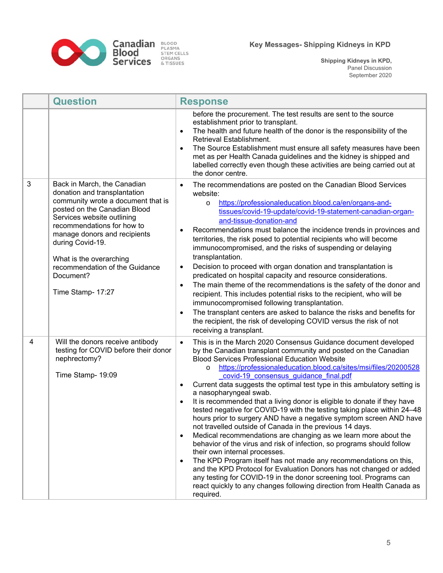

|   | <b>Question</b>                                                                                                                                                                                                                                                                                                                                  | <b>Response</b>                                                                                                                                                                                                                                                                                                                                                                                                                                                                                                                                                                                                                                                                                                                                                                                                                                                                                                                                                                                                                                                                                                                                                                                                                                             |
|---|--------------------------------------------------------------------------------------------------------------------------------------------------------------------------------------------------------------------------------------------------------------------------------------------------------------------------------------------------|-------------------------------------------------------------------------------------------------------------------------------------------------------------------------------------------------------------------------------------------------------------------------------------------------------------------------------------------------------------------------------------------------------------------------------------------------------------------------------------------------------------------------------------------------------------------------------------------------------------------------------------------------------------------------------------------------------------------------------------------------------------------------------------------------------------------------------------------------------------------------------------------------------------------------------------------------------------------------------------------------------------------------------------------------------------------------------------------------------------------------------------------------------------------------------------------------------------------------------------------------------------|
|   |                                                                                                                                                                                                                                                                                                                                                  | before the procurement. The test results are sent to the source<br>establishment prior to transplant.<br>The health and future health of the donor is the responsibility of the<br>$\bullet$<br>Retrieval Establishment.<br>The Source Establishment must ensure all safety measures have been<br>$\bullet$<br>met as per Health Canada guidelines and the kidney is shipped and<br>labelled correctly even though these activities are being carried out at<br>the donor centre.                                                                                                                                                                                                                                                                                                                                                                                                                                                                                                                                                                                                                                                                                                                                                                           |
| 3 | Back in March, the Canadian<br>donation and transplantation<br>community wrote a document that is<br>posted on the Canadian Blood<br>Services website outlining<br>recommendations for how to<br>manage donors and recipients<br>during Covid-19.<br>What is the overarching<br>recommendation of the Guidance<br>Document?<br>Time Stamp- 17:27 | The recommendations are posted on the Canadian Blood Services<br>website:<br>https://professionaleducation.blood.ca/en/organs-and-<br>$\circ$<br>tissues/covid-19-update/covid-19-statement-canadian-organ-<br>and-tissue-donation-and<br>Recommendations must balance the incidence trends in provinces and<br>territories, the risk posed to potential recipients who will become<br>immunocompromised, and the risks of suspending or delaying<br>transplantation.<br>Decision to proceed with organ donation and transplantation is<br>$\bullet$<br>predicated on hospital capacity and resource considerations.<br>The main theme of the recommendations is the safety of the donor and<br>$\bullet$<br>recipient. This includes potential risks to the recipient, who will be<br>immunocompromised following transplantation.<br>The transplant centers are asked to balance the risks and benefits for<br>the recipient, the risk of developing COVID versus the risk of not<br>receiving a transplant.                                                                                                                                                                                                                                              |
| 4 | Will the donors receive antibody<br>testing for COVID before their donor<br>nephrectomy?<br>Time Stamp- 19:09                                                                                                                                                                                                                                    | This is in the March 2020 Consensus Guidance document developed<br>$\bullet$<br>by the Canadian transplant community and posted on the Canadian<br><b>Blood Services Professional Education Website</b><br>https://professionaleducation.blood.ca/sites/msi/files/20200528<br>$\circ$<br>covid-19 consensus guidance final.pdf<br>Current data suggests the optimal test type in this ambulatory setting is<br>$\bullet$<br>a nasopharyngeal swab.<br>It is recommended that a living donor is eligible to donate if they have<br>tested negative for COVID-19 with the testing taking place within 24-48<br>hours prior to surgery AND have a negative symptom screen AND have<br>not travelled outside of Canada in the previous 14 days.<br>Medical recommendations are changing as we learn more about the<br>$\bullet$<br>behavior of the virus and risk of infection, so programs should follow<br>their own internal processes.<br>The KPD Program itself has not made any recommendations on this,<br>$\bullet$<br>and the KPD Protocol for Evaluation Donors has not changed or added<br>any testing for COVID-19 in the donor screening tool. Programs can<br>react quickly to any changes following direction from Health Canada as<br>required. |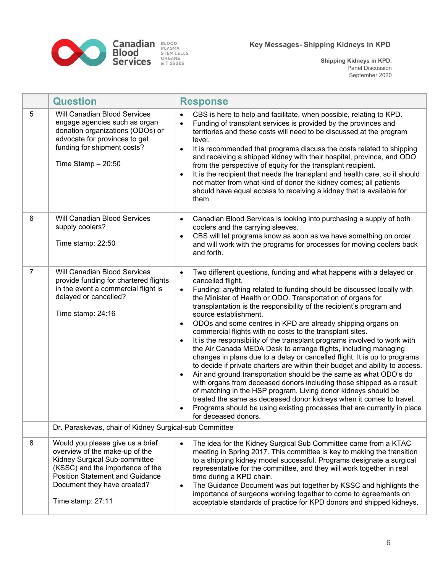

|                | <b>Question</b>                                                                                                                                                                                                                       | <b>Response</b>                                                                                                                                                                                                                                                                                                                                                                                                                                                                                                                                                                                                                                                                                                                                                                                                                                                                                                                                                                                                                                                                                                                                                                                                                                   |
|----------------|---------------------------------------------------------------------------------------------------------------------------------------------------------------------------------------------------------------------------------------|---------------------------------------------------------------------------------------------------------------------------------------------------------------------------------------------------------------------------------------------------------------------------------------------------------------------------------------------------------------------------------------------------------------------------------------------------------------------------------------------------------------------------------------------------------------------------------------------------------------------------------------------------------------------------------------------------------------------------------------------------------------------------------------------------------------------------------------------------------------------------------------------------------------------------------------------------------------------------------------------------------------------------------------------------------------------------------------------------------------------------------------------------------------------------------------------------------------------------------------------------|
| 5              | Will Canadian Blood Services<br>engage agencies such as organ<br>donation organizations (ODOs) or<br>advocate for provinces to get<br>funding for shipment costs?<br>Time Stamp $-20:50$                                              | CBS is here to help and facilitate, when possible, relating to KPD.<br>$\bullet$<br>Funding of transplant services is provided by the provinces and<br>$\bullet$<br>territories and these costs will need to be discussed at the program<br>level.<br>It is recommended that programs discuss the costs related to shipping<br>$\bullet$<br>and receiving a shipped kidney with their hospital, province, and ODO<br>from the perspective of equity for the transplant recipient.<br>It is the recipient that needs the transplant and health care, so it should<br>$\bullet$<br>not matter from what kind of donor the kidney comes; all patients<br>should have equal access to receiving a kidney that is available for<br>them.                                                                                                                                                                                                                                                                                                                                                                                                                                                                                                               |
| 6              | Will Canadian Blood Services<br>supply coolers?<br>Time stamp: 22:50                                                                                                                                                                  | Canadian Blood Services is looking into purchasing a supply of both<br>$\bullet$<br>coolers and the carrying sleeves.<br>CBS will let programs know as soon as we have something on order<br>٠<br>and will work with the programs for processes for moving coolers back<br>and forth.                                                                                                                                                                                                                                                                                                                                                                                                                                                                                                                                                                                                                                                                                                                                                                                                                                                                                                                                                             |
| $\overline{7}$ | Will Canadian Blood Services<br>provide funding for chartered flights<br>in the event a commercial flight is<br>delayed or cancelled?<br>Time stamp: 24:16                                                                            | Two different questions, funding and what happens with a delayed or<br>$\bullet$<br>cancelled flight.<br>Funding: anything related to funding should be discussed locally with<br>$\bullet$<br>the Minister of Health or ODO. Transportation of organs for<br>transplantation is the responsibility of the recipient's program and<br>source establishment.<br>ODOs and some centres in KPD are already shipping organs on<br>$\bullet$<br>commercial flights with no costs to the transplant sites.<br>It is the responsibility of the transplant programs involved to work with<br>$\bullet$<br>the Air Canada MEDA Desk to arrange flights, including managing<br>changes in plans due to a delay or cancelled flight. It is up to programs<br>to decide if private charters are within their budget and ability to access.<br>Air and ground transportation should be the same as what ODO's do<br>$\bullet$<br>with organs from deceased donors including those shipped as a result<br>of matching in the HSP program. Living donor kidneys should be<br>treated the same as deceased donor kidneys when it comes to travel.<br>Programs should be using existing processes that are currently in place<br>$\bullet$<br>for deceased donors. |
|                | Dr. Paraskevas, chair of Kidney Surgical-sub Committee                                                                                                                                                                                |                                                                                                                                                                                                                                                                                                                                                                                                                                                                                                                                                                                                                                                                                                                                                                                                                                                                                                                                                                                                                                                                                                                                                                                                                                                   |
| 8              | Would you please give us a brief<br>overview of the make-up of the<br>Kidney Surgical Sub-committee<br>(KSSC) and the importance of the<br><b>Position Statement and Guidance</b><br>Document they have created?<br>Time stamp: 27:11 | The idea for the Kidney Surgical Sub Committee came from a KTAC<br>meeting in Spring 2017. This committee is key to making the transition<br>to a shipping kidney model successful. Programs designate a surgical<br>representative for the committee, and they will work together in real<br>time during a KPD chain.<br>The Guidance Document was put together by KSSC and highlights the<br>$\bullet$<br>importance of surgeons working together to come to agreements on<br>acceptable standards of practice for KPD donors and shipped kidneys.                                                                                                                                                                                                                                                                                                                                                                                                                                                                                                                                                                                                                                                                                              |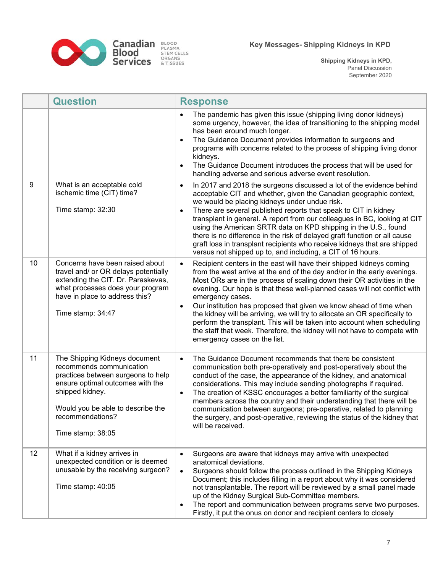

|    | <b>Question</b>                                                                                                                                                                                                                      | <b>Response</b>                                                                                                                                                                                                                                                                                                                                                                                                                                                                                                                                                                                                                                                                                  |
|----|--------------------------------------------------------------------------------------------------------------------------------------------------------------------------------------------------------------------------------------|--------------------------------------------------------------------------------------------------------------------------------------------------------------------------------------------------------------------------------------------------------------------------------------------------------------------------------------------------------------------------------------------------------------------------------------------------------------------------------------------------------------------------------------------------------------------------------------------------------------------------------------------------------------------------------------------------|
|    |                                                                                                                                                                                                                                      | The pandemic has given this issue (shipping living donor kidneys)<br>$\bullet$<br>some urgency, however, the idea of transitioning to the shipping model<br>has been around much longer.<br>The Guidance Document provides information to surgeons and<br>$\bullet$<br>programs with concerns related to the process of shipping living donor<br>kidneys.<br>The Guidance Document introduces the process that will be used for<br>$\bullet$<br>handling adverse and serious adverse event resolution.                                                                                                                                                                                           |
| 9  | What is an acceptable cold<br>ischemic time (CIT) time?<br>Time stamp: 32:30                                                                                                                                                         | In 2017 and 2018 the surgeons discussed a lot of the evidence behind<br>$\bullet$<br>acceptable CIT and whether, given the Canadian geographic context,<br>we would be placing kidneys under undue risk.<br>There are several published reports that speak to CIT in kidney<br>$\bullet$<br>transplant in general. A report from our colleagues in BC, looking at CIT<br>using the American SRTR data on KPD shipping in the U.S., found<br>there is no difference in the risk of delayed graft function or all cause<br>graft loss in transplant recipients who receive kidneys that are shipped<br>versus not shipped up to, and including, a CIT of 16 hours.                                 |
| 10 | Concerns have been raised about<br>travel and/ or OR delays potentially<br>extending the CIT. Dr. Paraskevas,<br>what processes does your program<br>have in place to address this?<br>Time stamp: 34:47                             | Recipient centers in the east will have their shipped kidneys coming<br>$\bullet$<br>from the west arrive at the end of the day and/or in the early evenings.<br>Most ORs are in the process of scaling down their OR activities in the<br>evening. Our hope is that these well-planned cases will not conflict with<br>emergency cases.<br>Our institution has proposed that given we know ahead of time when<br>$\bullet$<br>the kidney will be arriving, we will try to allocate an OR specifically to<br>perform the transplant. This will be taken into account when scheduling<br>the staff that week. Therefore, the kidney will not have to compete with<br>emergency cases on the list. |
| 11 | The Shipping Kidneys document<br>recommends communication<br>practices between surgeons to help<br>ensure optimal outcomes with the<br>shipped kidney.<br>Would you be able to describe the<br>recommendations?<br>Time stamp: 38:05 | The Guidance Document recommends that there be consistent<br>$\bullet$<br>communication both pre-operatively and post-operatively about the<br>conduct of the case, the appearance of the kidney, and anatomical<br>considerations. This may include sending photographs if required.<br>The creation of KSSC encourages a better familiarity of the surgical<br>$\bullet$<br>members across the country and their understanding that there will be<br>communication between surgeons; pre-operative, related to planning<br>the surgery, and post-operative, reviewing the status of the kidney that<br>will be received.                                                                       |
| 12 | What if a kidney arrives in<br>unexpected condition or is deemed<br>unusable by the receiving surgeon?<br>Time stamp: 40:05                                                                                                          | Surgeons are aware that kidneys may arrive with unexpected<br>$\bullet$<br>anatomical deviations.<br>Surgeons should follow the process outlined in the Shipping Kidneys<br>$\bullet$<br>Document; this includes filling in a report about why it was considered<br>not transplantable. The report will be reviewed by a small panel made<br>up of the Kidney Surgical Sub-Committee members.<br>The report and communication between programs serve two purposes.<br>$\bullet$<br>Firstly, it put the onus on donor and recipient centers to closely                                                                                                                                            |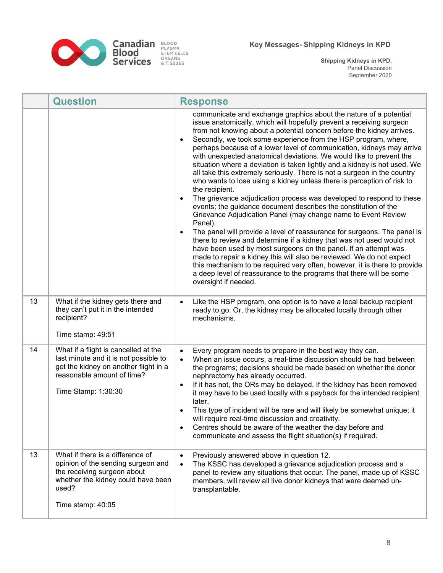

|    | <b>Question</b>                                                                                                                                                             | <b>Response</b>                                                                                                                                                                                                                                                                                                                                                                                                                                                                                                                                                                                                                                                                                                                                                                                                                                                                                                                                                                                                                                                                                                                                                                                                                                                                                                                                                                                                                     |
|----|-----------------------------------------------------------------------------------------------------------------------------------------------------------------------------|-------------------------------------------------------------------------------------------------------------------------------------------------------------------------------------------------------------------------------------------------------------------------------------------------------------------------------------------------------------------------------------------------------------------------------------------------------------------------------------------------------------------------------------------------------------------------------------------------------------------------------------------------------------------------------------------------------------------------------------------------------------------------------------------------------------------------------------------------------------------------------------------------------------------------------------------------------------------------------------------------------------------------------------------------------------------------------------------------------------------------------------------------------------------------------------------------------------------------------------------------------------------------------------------------------------------------------------------------------------------------------------------------------------------------------------|
|    |                                                                                                                                                                             | communicate and exchange graphics about the nature of a potential<br>issue anatomically, which will hopefully prevent a receiving surgeon<br>from not knowing about a potential concern before the kidney arrives.<br>Secondly, we took some experience from the HSP program, where,<br>$\bullet$<br>perhaps because of a lower level of communication, kidneys may arrive<br>with unexpected anatomical deviations. We would like to prevent the<br>situation where a deviation is taken lightly and a kidney is not used. We<br>all take this extremely seriously. There is not a surgeon in the country<br>who wants to lose using a kidney unless there is perception of risk to<br>the recipient.<br>The grievance adjudication process was developed to respond to these<br>$\bullet$<br>events; the guidance document describes the constitution of the<br>Grievance Adjudication Panel (may change name to Event Review<br>Panel).<br>The panel will provide a level of reassurance for surgeons. The panel is<br>$\bullet$<br>there to review and determine if a kidney that was not used would not<br>have been used by most surgeons on the panel. If an attempt was<br>made to repair a kidney this will also be reviewed. We do not expect<br>this mechanism to be required very often, however, it is there to provide<br>a deep level of reassurance to the programs that there will be some<br>oversight if needed. |
| 13 | What if the kidney gets there and<br>they can't put it in the intended<br>recipient?<br>Time stamp: 49:51                                                                   | Like the HSP program, one option is to have a local backup recipient<br>$\bullet$<br>ready to go. Or, the kidney may be allocated locally through other<br>mechanisms.                                                                                                                                                                                                                                                                                                                                                                                                                                                                                                                                                                                                                                                                                                                                                                                                                                                                                                                                                                                                                                                                                                                                                                                                                                                              |
| 14 | What if a flight is cancelled at the<br>last minute and it is not possible to<br>get the kidney on another flight in a<br>reasonable amount of time?<br>Time Stamp: 1:30:30 | Every program needs to prepare in the best way they can.<br>$\bullet$<br>When an issue occurs, a real-time discussion should be had between<br>$\bullet$<br>the programs; decisions should be made based on whether the donor<br>nephrectomy has already occurred.<br>If it has not, the ORs may be delayed. If the kidney has been removed<br>$\bullet$<br>it may have to be used locally with a payback for the intended recipient<br>later.<br>This type of incident will be rare and will likely be somewhat unique; it<br>$\bullet$<br>will require real-time discussion and creativity.<br>Centres should be aware of the weather the day before and<br>$\bullet$<br>communicate and assess the flight situation(s) if required.                                                                                                                                                                                                                                                                                                                                                                                                                                                                                                                                                                                                                                                                                              |
| 13 | What if there is a difference of<br>opinion of the sending surgeon and<br>the receiving surgeon about<br>whether the kidney could have been<br>used?<br>Time stamp: 40:05   | Previously answered above in question 12.<br>$\bullet$<br>The KSSC has developed a grievance adjudication process and a<br>$\bullet$<br>panel to review any situations that occur. The panel, made up of KSSC<br>members, will review all live donor kidneys that were deemed un-<br>transplantable.                                                                                                                                                                                                                                                                                                                                                                                                                                                                                                                                                                                                                                                                                                                                                                                                                                                                                                                                                                                                                                                                                                                                |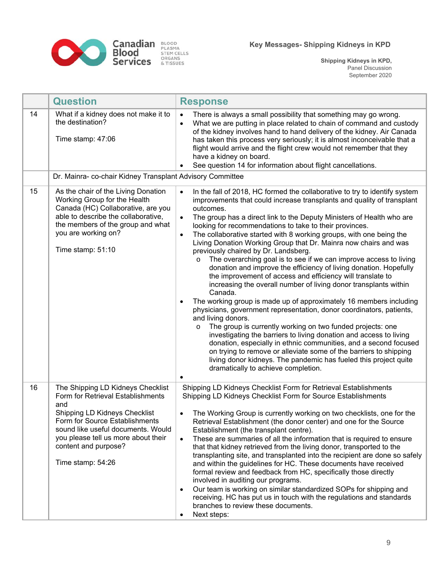

|    | <b>Question</b>                                                                                                                                                                                                                                                            | <b>Response</b>                                                                                                                                                                                                                                                                                                                                                                                                                                                                                                                                                                                                                                                                                                                                                                                                                                                                                                                                                                                                                                                                                                                                                                                                                                                                                                                                                                                                       |
|----|----------------------------------------------------------------------------------------------------------------------------------------------------------------------------------------------------------------------------------------------------------------------------|-----------------------------------------------------------------------------------------------------------------------------------------------------------------------------------------------------------------------------------------------------------------------------------------------------------------------------------------------------------------------------------------------------------------------------------------------------------------------------------------------------------------------------------------------------------------------------------------------------------------------------------------------------------------------------------------------------------------------------------------------------------------------------------------------------------------------------------------------------------------------------------------------------------------------------------------------------------------------------------------------------------------------------------------------------------------------------------------------------------------------------------------------------------------------------------------------------------------------------------------------------------------------------------------------------------------------------------------------------------------------------------------------------------------------|
| 14 | What if a kidney does not make it to<br>the destination?<br>Time stamp: 47:06                                                                                                                                                                                              | There is always a small possibility that something may go wrong.<br>$\bullet$<br>What we are putting in place related to chain of command and custody<br>$\bullet$<br>of the kidney involves hand to hand delivery of the kidney. Air Canada<br>has taken this process very seriously; it is almost inconceivable that a<br>flight would arrive and the flight crew would not remember that they<br>have a kidney on board.<br>See question 14 for information about flight cancellations.<br>$\bullet$                                                                                                                                                                                                                                                                                                                                                                                                                                                                                                                                                                                                                                                                                                                                                                                                                                                                                                               |
|    | Dr. Mainra- co-chair Kidney Transplant Advisory Committee                                                                                                                                                                                                                  |                                                                                                                                                                                                                                                                                                                                                                                                                                                                                                                                                                                                                                                                                                                                                                                                                                                                                                                                                                                                                                                                                                                                                                                                                                                                                                                                                                                                                       |
| 15 | As the chair of the Living Donation<br>Working Group for the Health<br>Canada (HC) Collaborative, are you<br>able to describe the collaborative,<br>the members of the group and what<br>you are working on?<br>Time stamp: 51:10                                          | In the fall of 2018, HC formed the collaborative to try to identify system<br>$\bullet$<br>improvements that could increase transplants and quality of transplant<br>outcomes.<br>The group has a direct link to the Deputy Ministers of Health who are<br>$\bullet$<br>looking for recommendations to take to their provinces.<br>The collaborative started with 8 working groups, with one being the<br>$\bullet$<br>Living Donation Working Group that Dr. Mainra now chairs and was<br>previously chaired by Dr. Landsberg.<br>The overarching goal is to see if we can improve access to living<br>$\circ$<br>donation and improve the efficiency of living donation. Hopefully<br>the improvement of access and efficiency will translate to<br>increasing the overall number of living donor transplants within<br>Canada.<br>The working group is made up of approximately 16 members including<br>$\bullet$<br>physicians, government representation, donor coordinators, patients,<br>and living donors.<br>The group is currently working on two funded projects: one<br>$\circ$<br>investigating the barriers to living donation and access to living<br>donation, especially in ethnic communities, and a second focused<br>on trying to remove or alleviate some of the barriers to shipping<br>living donor kidneys. The pandemic has fueled this project quite<br>dramatically to achieve completion. |
| 16 | The Shipping LD Kidneys Checklist<br>Form for Retrieval Establishments<br>and<br>Shipping LD Kidneys Checklist<br>Form for Source Establishments<br>sound like useful documents. Would<br>you please tell us more about their<br>content and purpose?<br>Time stamp: 54:26 | $\bullet$<br>Shipping LD Kidneys Checklist Form for Retrieval Establishments<br>Shipping LD Kidneys Checklist Form for Source Establishments<br>The Working Group is currently working on two checklists, one for the<br>$\bullet$<br>Retrieval Establishment (the donor center) and one for the Source<br>Establishment (the transplant centre).<br>These are summaries of all the information that is required to ensure<br>$\bullet$<br>that that kidney retrieved from the living donor, transported to the<br>transplanting site, and transplanted into the recipient are done so safely<br>and within the guidelines for HC. These documents have received<br>formal review and feedback from HC, specifically those directly<br>involved in auditing our programs.<br>Our team is working on similar standardized SOPs for shipping and<br>$\bullet$<br>receiving. HC has put us in touch with the regulations and standards<br>branches to review these documents.<br>Next steps:<br>$\bullet$                                                                                                                                                                                                                                                                                                                                                                                                                |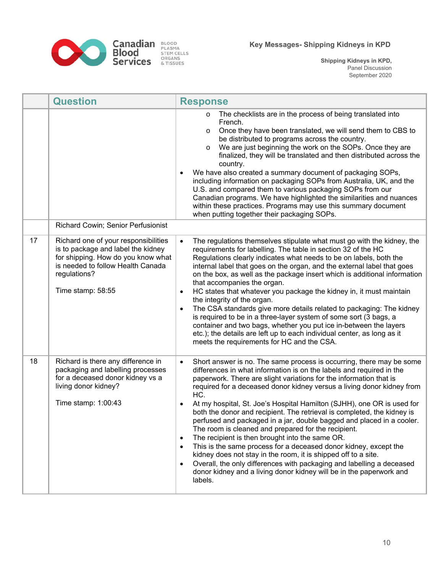

|    | <b>Question</b>                                                                                                                                                                            | <b>Response</b>                                                                                                                                                                                                                                                                                                                                                                                                                                                                                                                                                                                                                                                                                                                                                                                                                                                                                                                                                                                  |
|----|--------------------------------------------------------------------------------------------------------------------------------------------------------------------------------------------|--------------------------------------------------------------------------------------------------------------------------------------------------------------------------------------------------------------------------------------------------------------------------------------------------------------------------------------------------------------------------------------------------------------------------------------------------------------------------------------------------------------------------------------------------------------------------------------------------------------------------------------------------------------------------------------------------------------------------------------------------------------------------------------------------------------------------------------------------------------------------------------------------------------------------------------------------------------------------------------------------|
|    | Richard Cowin; Senior Perfusionist                                                                                                                                                         | The checklists are in the process of being translated into<br>French.<br>Once they have been translated, we will send them to CBS to<br>O<br>be distributed to programs across the country.<br>We are just beginning the work on the SOPs. Once they are<br>$\circ$<br>finalized, they will be translated and then distributed across the<br>country.<br>We have also created a summary document of packaging SOPs,<br>$\bullet$<br>including information on packaging SOPs from Australia, UK, and the<br>U.S. and compared them to various packaging SOPs from our<br>Canadian programs. We have highlighted the similarities and nuances<br>within these practices. Programs may use this summary document<br>when putting together their packaging SOPs.                                                                                                                                                                                                                                     |
| 17 | Richard one of your responsibilities<br>is to package and label the kidney<br>for shipping. How do you know what<br>is needed to follow Health Canada<br>regulations?<br>Time stamp: 58:55 | The regulations themselves stipulate what must go with the kidney, the<br>$\bullet$<br>requirements for labelling. The table in section 32 of the HC<br>Regulations clearly indicates what needs to be on labels, both the<br>internal label that goes on the organ, and the external label that goes<br>on the box, as well as the package insert which is additional information<br>that accompanies the organ.<br>HC states that whatever you package the kidney in, it must maintain<br>$\bullet$<br>the integrity of the organ.<br>The CSA standards give more details related to packaging: The kidney<br>$\bullet$<br>is required to be in a three-layer system of some sort (3 bags, a<br>container and two bags, whether you put ice in-between the layers<br>etc.); the details are left up to each individual center, as long as it<br>meets the requirements for HC and the CSA.                                                                                                     |
| 18 | Richard is there any difference in<br>packaging and labelling processes<br>for a deceased donor kidney vs a<br>living donor kidney?<br>Time stamp: 1:00:43                                 | Short answer is no. The same process is occurring, there may be some<br>$\bullet$<br>differences in what information is on the labels and required in the<br>paperwork. There are slight variations for the information that is<br>required for a deceased donor kidney versus a living donor kidney from<br>HC.<br>At my hospital, St. Joe's Hospital Hamilton (SJHH), one OR is used for<br>both the donor and recipient. The retrieval is completed, the kidney is<br>perfused and packaged in a jar, double bagged and placed in a cooler.<br>The room is cleaned and prepared for the recipient.<br>The recipient is then brought into the same OR.<br>$\bullet$<br>This is the same process for a deceased donor kidney, except the<br>$\bullet$<br>kidney does not stay in the room, it is shipped off to a site.<br>Overall, the only differences with packaging and labelling a deceased<br>$\bullet$<br>donor kidney and a living donor kidney will be in the paperwork and<br>labels. |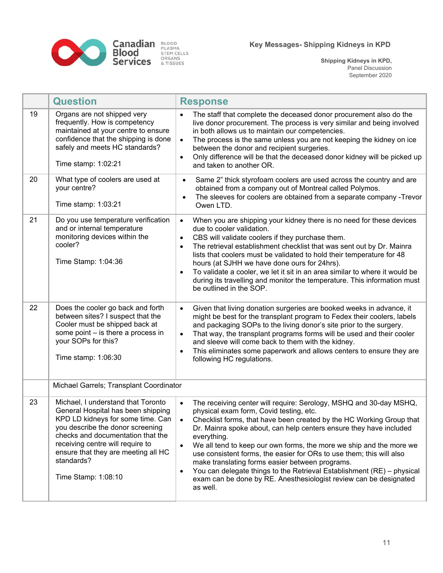

**Canadian** BLOOD<br>**Blood** STEM CELLS<br>**Services** & TISSUES

|    | <b>Question</b>                                                                                                                                                                                                                                                                                        | <b>Response</b>                                                                                                                                                                                                                                                                                                                                                                                                                                                                                                                                                                                                                                                                             |
|----|--------------------------------------------------------------------------------------------------------------------------------------------------------------------------------------------------------------------------------------------------------------------------------------------------------|---------------------------------------------------------------------------------------------------------------------------------------------------------------------------------------------------------------------------------------------------------------------------------------------------------------------------------------------------------------------------------------------------------------------------------------------------------------------------------------------------------------------------------------------------------------------------------------------------------------------------------------------------------------------------------------------|
| 19 | Organs are not shipped very<br>frequently. How is competency<br>maintained at your centre to ensure<br>confidence that the shipping is done<br>safely and meets HC standards?<br>Time stamp: 1:02:21                                                                                                   | The staff that complete the deceased donor procurement also do the<br>$\bullet$<br>live donor procurement. The process is very similar and being involved<br>in both allows us to maintain our competencies.<br>The process is the same unless you are not keeping the kidney on ice<br>$\bullet$<br>between the donor and recipient surgeries.<br>Only difference will be that the deceased donor kidney will be picked up<br>$\bullet$<br>and taken to another OR.                                                                                                                                                                                                                        |
| 20 | What type of coolers are used at<br>your centre?<br>Time stamp: 1:03:21                                                                                                                                                                                                                                | Same 2" thick styrofoam coolers are used across the country and are<br>$\bullet$<br>obtained from a company out of Montreal called Polymos.<br>The sleeves for coolers are obtained from a separate company -Trevor<br>Owen LTD.                                                                                                                                                                                                                                                                                                                                                                                                                                                            |
| 21 | Do you use temperature verification<br>and or internal temperature<br>monitoring devices within the<br>cooler?<br>Time Stamp: 1:04:36                                                                                                                                                                  | When you are shipping your kidney there is no need for these devices<br>$\bullet$<br>due to cooler validation.<br>CBS will validate coolers if they purchase them.<br>$\bullet$<br>The retrieval establishment checklist that was sent out by Dr. Mainra<br>$\bullet$<br>lists that coolers must be validated to hold their temperature for 48<br>hours (at SJHH we have done ours for 24hrs).<br>To validate a cooler, we let it sit in an area similar to where it would be<br>$\bullet$<br>during its travelling and monitor the temperature. This information must<br>be outlined in the SOP.                                                                                           |
| 22 | Does the cooler go back and forth<br>between sites? I suspect that the<br>Cooler must be shipped back at<br>some point - is there a process in<br>your SOPs for this?<br>Time stamp: 1:06:30                                                                                                           | Given that living donation surgeries are booked weeks in advance, it<br>$\bullet$<br>might be best for the transplant program to Fedex their coolers, labels<br>and packaging SOPs to the living donor's site prior to the surgery.<br>That way, the transplant programs forms will be used and their cooler<br>$\bullet$<br>and sleeve will come back to them with the kidney.<br>This eliminates some paperwork and allows centers to ensure they are<br>$\bullet$<br>following HC regulations.                                                                                                                                                                                           |
|    | Michael Garrels; Transplant Coordinator                                                                                                                                                                                                                                                                |                                                                                                                                                                                                                                                                                                                                                                                                                                                                                                                                                                                                                                                                                             |
| 23 | Michael, I understand that Toronto<br>General Hospital has been shipping<br>KPD LD kidneys for some time. Can<br>you describe the donor screening<br>checks and documentation that the<br>receiving centre will require to<br>ensure that they are meeting all HC<br>standards?<br>Time Stamp: 1:08:10 | The receiving center will require: Serology, MSHQ and 30-day MSHQ,<br>$\bullet$<br>physical exam form, Covid testing, etc.<br>Checklist forms, that have been created by the HC Working Group that<br>$\bullet$<br>Dr. Mainra spoke about, can help centers ensure they have included<br>everything.<br>We all tend to keep our own forms, the more we ship and the more we<br>$\bullet$<br>use consistent forms, the easier for ORs to use them; this will also<br>make translating forms easier between programs.<br>You can delegate things to the Retrieval Establishment (RE) - physical<br>$\bullet$<br>exam can be done by RE. Anesthesiologist review can be designated<br>as well. |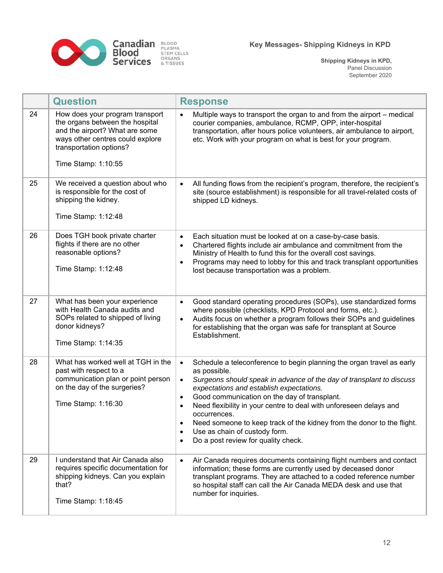

|    | <b>Question</b>                                                                                                                                                                            | <b>Response</b>                                                                                                                                                                                                                                                                                                                                                                                                                                                                                                                                                                              |
|----|--------------------------------------------------------------------------------------------------------------------------------------------------------------------------------------------|----------------------------------------------------------------------------------------------------------------------------------------------------------------------------------------------------------------------------------------------------------------------------------------------------------------------------------------------------------------------------------------------------------------------------------------------------------------------------------------------------------------------------------------------------------------------------------------------|
| 24 | How does your program transport<br>the organs between the hospital<br>and the airport? What are some<br>ways other centres could explore<br>transportation options?<br>Time Stamp: 1:10:55 | Multiple ways to transport the organ to and from the airport – medical<br>$\bullet$<br>courier companies, ambulance, RCMP, OPP, inter-hospital<br>transportation, after hours police volunteers, air ambulance to airport,<br>etc. Work with your program on what is best for your program.                                                                                                                                                                                                                                                                                                  |
| 25 | We received a question about who<br>is responsible for the cost of<br>shipping the kidney.<br>Time Stamp: 1:12:48                                                                          | All funding flows from the recipient's program, therefore, the recipient's<br>$\bullet$<br>site (source establishment) is responsible for all travel-related costs of<br>shipped LD kidneys.                                                                                                                                                                                                                                                                                                                                                                                                 |
| 26 | Does TGH book private charter<br>flights if there are no other<br>reasonable options?<br>Time Stamp: 1:12:48                                                                               | Each situation must be looked at on a case-by-case basis.<br>$\bullet$<br>Chartered flights include air ambulance and commitment from the<br>$\bullet$<br>Ministry of Health to fund this for the overall cost savings.<br>Programs may need to lobby for this and track transplant opportunities<br>$\bullet$<br>lost because transportation was a problem.                                                                                                                                                                                                                                 |
| 27 | What has been your experience<br>with Health Canada audits and<br>SOPs related to shipped of living<br>donor kidneys?<br>Time Stamp: 1:14:35                                               | Good standard operating procedures (SOPs), use standardized forms<br>$\bullet$<br>where possible (checklists, KPD Protocol and forms, etc.).<br>Audits focus on whether a program follows their SOPs and guidelines<br>$\bullet$<br>for establishing that the organ was safe for transplant at Source<br>Establishment.                                                                                                                                                                                                                                                                      |
| 28 | What has worked well at TGH in the<br>past with respect to a<br>communication plan or point person<br>on the day of the surgeries?<br>Time Stamp: 1:16:30                                  | Schedule a teleconference to begin planning the organ travel as early<br>$\bullet$<br>as possible.<br>Surgeons should speak in advance of the day of transplant to discuss<br>$\bullet$<br>expectations and establish expectations.<br>Good communication on the day of transplant.<br>$\bullet$<br>Need flexibility in your centre to deal with unforeseen delays and<br>$\bullet$<br>occurrences.<br>Need someone to keep track of the kidney from the donor to the flight.<br>$\bullet$<br>Use as chain of custody form.<br>$\bullet$<br>Do a post review for quality check.<br>$\bullet$ |
| 29 | I understand that Air Canada also<br>requires specific documentation for<br>shipping kidneys. Can you explain<br>that?<br>Time Stamp: 1:18:45                                              | Air Canada requires documents containing flight numbers and contact<br>$\bullet$<br>information; these forms are currently used by deceased donor<br>transplant programs. They are attached to a coded reference number<br>so hospital staff can call the Air Canada MEDA desk and use that<br>number for inquiries.                                                                                                                                                                                                                                                                         |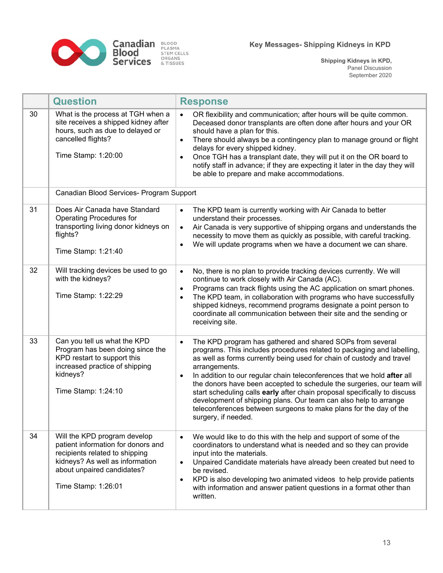

|    | <b>Question</b>                                                                                                                                                                              | <b>Response</b>                                                                                                                                                                                                                                                                                                                                                                                                                                                                                                                                                                                                                                           |
|----|----------------------------------------------------------------------------------------------------------------------------------------------------------------------------------------------|-----------------------------------------------------------------------------------------------------------------------------------------------------------------------------------------------------------------------------------------------------------------------------------------------------------------------------------------------------------------------------------------------------------------------------------------------------------------------------------------------------------------------------------------------------------------------------------------------------------------------------------------------------------|
| 30 | What is the process at TGH when a<br>site receives a shipped kidney after<br>hours, such as due to delayed or<br>cancelled flights?<br>Time Stamp: 1:20:00                                   | OR flexibility and communication; after hours will be quite common.<br>$\bullet$<br>Deceased donor transplants are often done after hours and your OR<br>should have a plan for this.<br>There should always be a contingency plan to manage ground or flight<br>$\bullet$<br>delays for every shipped kidney.<br>Once TGH has a transplant date, they will put it on the OR board to<br>$\bullet$<br>notify staff in advance; if they are expecting it later in the day they will<br>be able to prepare and make accommodations.                                                                                                                         |
|    | Canadian Blood Services- Program Support                                                                                                                                                     |                                                                                                                                                                                                                                                                                                                                                                                                                                                                                                                                                                                                                                                           |
| 31 | Does Air Canada have Standard<br><b>Operating Procedures for</b><br>transporting living donor kidneys on<br>flights?<br>Time Stamp: 1:21:40                                                  | The KPD team is currently working with Air Canada to better<br>$\bullet$<br>understand their processes.<br>Air Canada is very supportive of shipping organs and understands the<br>$\bullet$<br>necessity to move them as quickly as possible, with careful tracking.<br>We will update programs when we have a document we can share.<br>$\bullet$                                                                                                                                                                                                                                                                                                       |
| 32 | Will tracking devices be used to go<br>with the kidneys?<br>Time Stamp: 1:22:29                                                                                                              | No, there is no plan to provide tracking devices currently. We will<br>$\bullet$<br>continue to work closely with Air Canada (AC).<br>Programs can track flights using the AC application on smart phones.<br>$\bullet$<br>The KPD team, in collaboration with programs who have successfully<br>$\bullet$<br>shipped kidneys, recommend programs designate a point person to<br>coordinate all communication between their site and the sending or<br>receiving site.                                                                                                                                                                                    |
| 33 | Can you tell us what the KPD<br>Program has been doing since the<br>KPD restart to support this<br>increased practice of shipping<br>kidneys?<br>Time Stamp: 1:24:10                         | The KPD program has gathered and shared SOPs from several<br>$\bullet$<br>programs. This includes procedures related to packaging and labelling,<br>as well as forms currently being used for chain of custody and travel<br>arrangements.<br>In addition to our regular chain teleconferences that we hold after all<br>$\bullet$<br>the donors have been accepted to schedule the surgeries, our team will<br>start scheduling calls early after chain proposal specifically to discuss<br>development of shipping plans. Our team can also help to arrange<br>teleconferences between surgeons to make plans for the day of the<br>surgery, if needed. |
| 34 | Will the KPD program develop<br>patient information for donors and<br>recipients related to shipping<br>kidneys? As well as information<br>about unpaired candidates?<br>Time Stamp: 1:26:01 | We would like to do this with the help and support of some of the<br>$\bullet$<br>coordinators to understand what is needed and so they can provide<br>input into the materials.<br>Unpaired Candidate materials have already been created but need to<br>$\bullet$<br>be revised.<br>KPD is also developing two animated videos to help provide patients<br>$\bullet$<br>with information and answer patient questions in a format other than<br>written.                                                                                                                                                                                                |